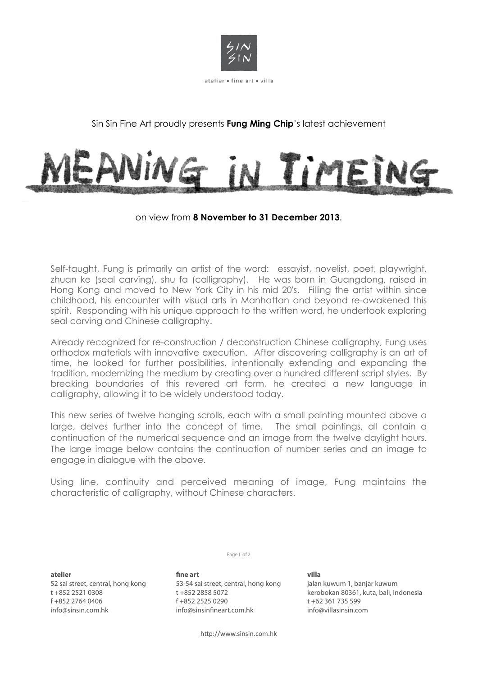

## Sin Sin Fine Art proudly presents **Fung Ming Chip**'s latest achievement



## on view from **8 November to 31 December 2013**.

Self-taught, Fung is primarily an artist of the word: essayist, novelist, poet, playwright, zhuan ke (seal carving), shu fa (calligraphy). He was born in Guangdong, raised in Hong Kong and moved to New York City in his mid 20's. Filling the artist within since childhood, his encounter with visual arts in Manhattan and beyond re-awakened this spirit. Responding with his unique approach to the written word, he undertook exploring seal carving and Chinese calligraphy.

Already recognized for re-construction / deconstruction Chinese calligraphy, Fung uses orthodox materials with innovative execution. After discovering calligraphy is an art of time, he looked for further possibilities, intentionally extending and expanding the tradition, modernizing the medium by creating over a hundred different script styles. By breaking boundaries of this revered art form, he created a new language in calligraphy, allowing it to be widely understood today.

This new series of twelve hanging scrolls, each with a small painting mounted above a large, delves further into the concept of time. The small paintings, all contain a continuation of the numerical sequence and an image from the twelve daylight hours. The large image below contains the continuation of number series and an image to engage in dialogue with the above.

Using line, continuity and perceived meaning of image, Fung maintains the characteristic of calligraphy, without Chinese characters.

Page 1 of 2

**atelier** 

52 sai street, central, hong kong t +852 2521 0308 f +852 2764 0406 info@sinsin.com.hk

**!ne art** 53-54 sai street, central, hong kong t +852 2858 5072 f +852 2525 0290 info@sinsinfineart.com.hk

**villa** jalan kuwum 1, banjar kuwum kerobokan 80361, kuta, bali, indonesia t +62 361 735 599 info@villasinsin.com

http://www.sinsin.com.hk